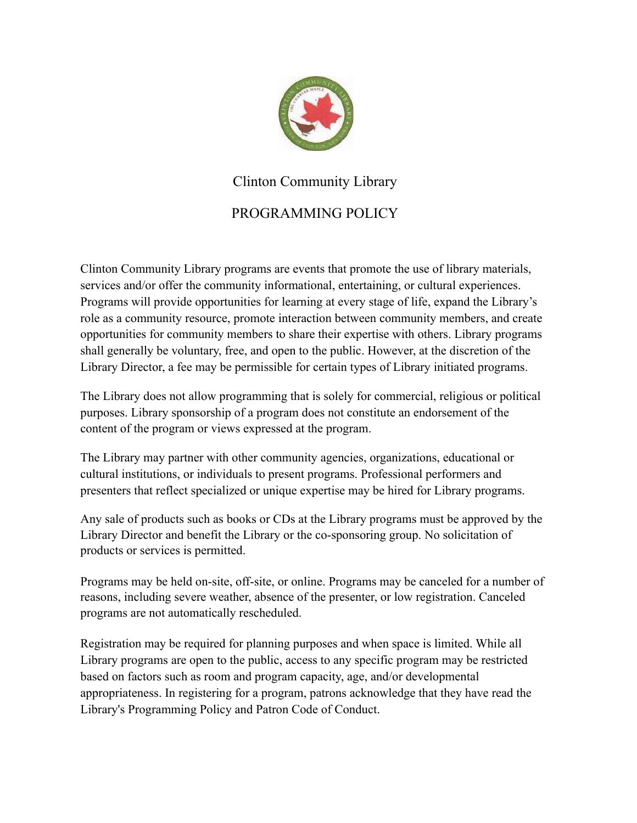

## Clinton Community Library

## PROGRAMMING POLICY

Clinton Community Library programs are events that promote the use of library materials, services and/or offer the community informational, entertaining, or cultural experiences. Programs will provide opportunities for learning at every stage of life, expand the Library's role as a community resource, promote interaction between community members, and create opportunities for community members to share their expertise with others. Library programs shall generally be voluntary, free, and open to the public. However, at the discretion of the Library Director, a fee may be permissible for certain types of Library initiated programs.

The Library does not allow programming that is solely for commercial, religious or political purposes. Library sponsorship of a program does not constitute an endorsement of the content of the program or views expressed at the program.

The Library may partner with other community agencies, organizations, educational or cultural institutions, or individuals to present programs. Professional performers and presenters that reflect specialized or unique expertise may be hired for Library programs.

Any sale of products such as books or CDs at the Library programs must be approved by the Library Director and benefit the Library or the co-sponsoring group. No solicitation of products or services is permitted.

Programs may be held on-site, off-site, or online. Programs may be canceled for a number of reasons, including severe weather, absence of the presenter, or low registration. Canceled programs are not automatically rescheduled.

Registration may be required for planning purposes and when space is limited. While all Library programs are open to the public, access to any specific program may be restricted based on factors such as room and program capacity, age, and/or developmental appropriateness. In registering for a program, patrons acknowledge that they have read the Library's Programming Policy and Patron Code of Conduct.